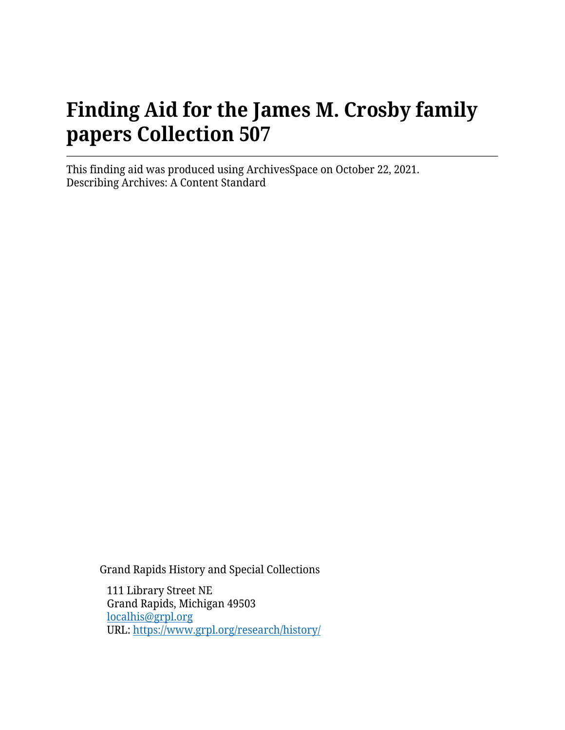# **Finding Aid for the James M. Crosby family papers Collection 507**

This finding aid was produced using ArchivesSpace on October 22, 2021. Describing Archives: A Content Standard

Grand Rapids History and Special Collections

111 Library Street NE Grand Rapids, Michigan 49503 [localhis@grpl.org](mailto:localhis@grpl.org) URL:<https://www.grpl.org/research/history/>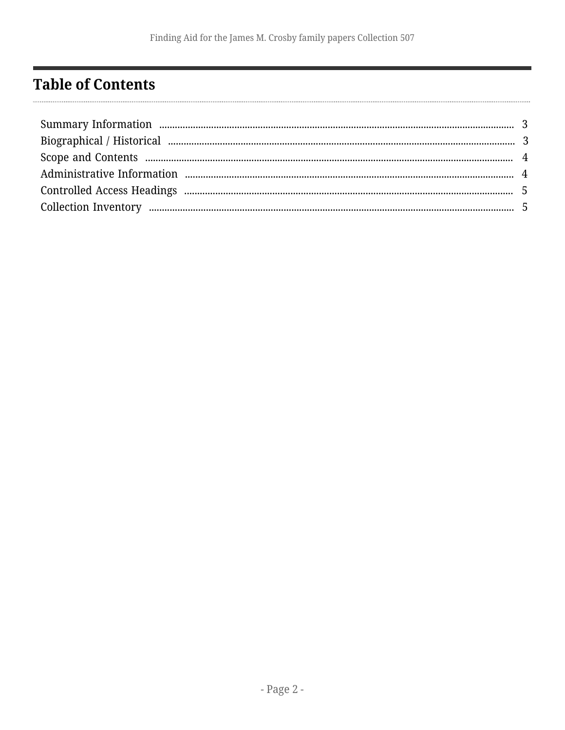## <span id="page-1-0"></span>**Table of Contents**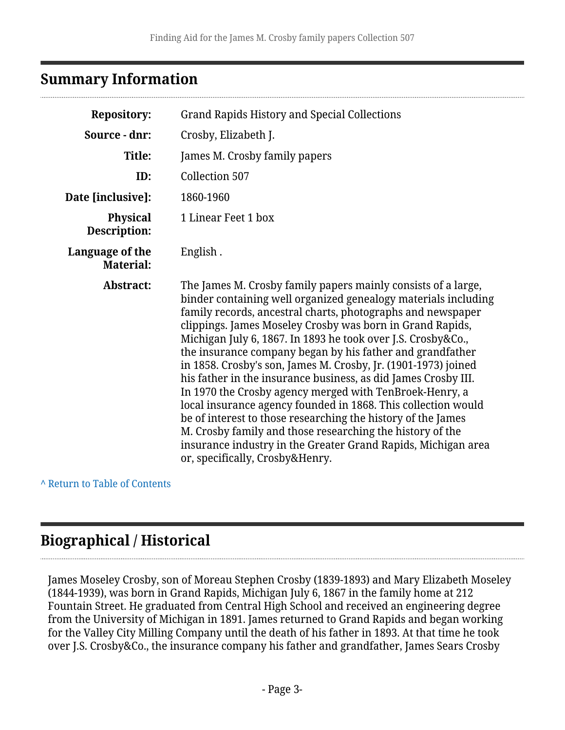#### <span id="page-2-0"></span>**Summary Information**

| <b>Repository:</b>                  | <b>Grand Rapids History and Special Collections</b>                                                                                                                                                                                                                                                                                                                                                                                                                                                                                                                                                                                                                                                                                                                                                                                                                                       |  |  |
|-------------------------------------|-------------------------------------------------------------------------------------------------------------------------------------------------------------------------------------------------------------------------------------------------------------------------------------------------------------------------------------------------------------------------------------------------------------------------------------------------------------------------------------------------------------------------------------------------------------------------------------------------------------------------------------------------------------------------------------------------------------------------------------------------------------------------------------------------------------------------------------------------------------------------------------------|--|--|
| Source - dnr:                       | Crosby, Elizabeth J.                                                                                                                                                                                                                                                                                                                                                                                                                                                                                                                                                                                                                                                                                                                                                                                                                                                                      |  |  |
| <b>Title:</b>                       | James M. Crosby family papers                                                                                                                                                                                                                                                                                                                                                                                                                                                                                                                                                                                                                                                                                                                                                                                                                                                             |  |  |
| ID:                                 | <b>Collection 507</b>                                                                                                                                                                                                                                                                                                                                                                                                                                                                                                                                                                                                                                                                                                                                                                                                                                                                     |  |  |
| Date [inclusive]:                   | 1860-1960                                                                                                                                                                                                                                                                                                                                                                                                                                                                                                                                                                                                                                                                                                                                                                                                                                                                                 |  |  |
| <b>Physical</b><br>Description:     | 1 Linear Feet 1 box                                                                                                                                                                                                                                                                                                                                                                                                                                                                                                                                                                                                                                                                                                                                                                                                                                                                       |  |  |
| Language of the<br><b>Material:</b> | English.                                                                                                                                                                                                                                                                                                                                                                                                                                                                                                                                                                                                                                                                                                                                                                                                                                                                                  |  |  |
| Abstract:                           | The James M. Crosby family papers mainly consists of a large,<br>binder containing well organized genealogy materials including<br>family records, ancestral charts, photographs and newspaper<br>clippings. James Moseley Crosby was born in Grand Rapids,<br>Michigan July 6, 1867. In 1893 he took over J.S. Crosby&Co.,<br>the insurance company began by his father and grandfather<br>in 1858. Crosby's son, James M. Crosby, Jr. (1901-1973) joined<br>his father in the insurance business, as did James Crosby III.<br>In 1970 the Crosby agency merged with TenBroek-Henry, a<br>local insurance agency founded in 1868. This collection would<br>be of interest to those researching the history of the James<br>M. Crosby family and those researching the history of the<br>insurance industry in the Greater Grand Rapids, Michigan area<br>or, specifically, Crosby&Henry. |  |  |

**^** [Return to Table of Contents](#page-1-0)

### <span id="page-2-1"></span>**Biographical / Historical**

James Moseley Crosby, son of Moreau Stephen Crosby (1839-1893) and Mary Elizabeth Moseley (1844-1939), was born in Grand Rapids, Michigan July 6, 1867 in the family home at 212 Fountain Street. He graduated from Central High School and received an engineering degree from the University of Michigan in 1891. James returned to Grand Rapids and began working for the Valley City Milling Company until the death of his father in 1893. At that time he took over J.S. Crosby&Co., the insurance company his father and grandfather, James Sears Crosby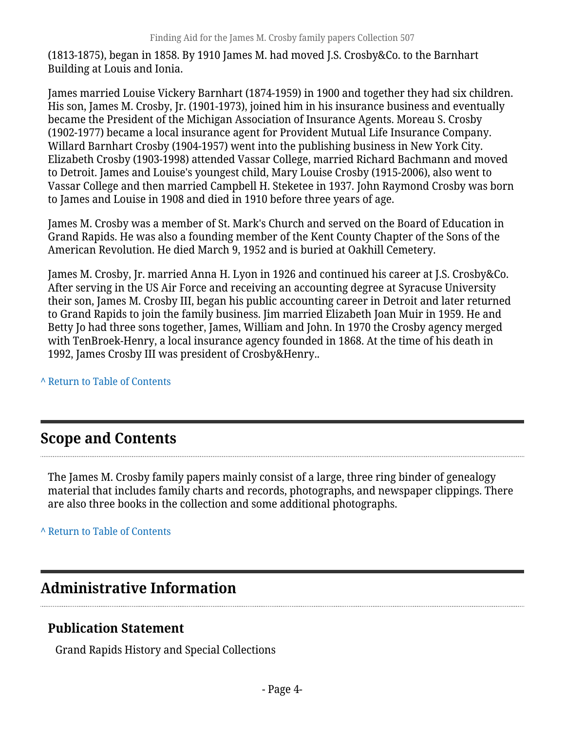(1813-1875), began in 1858. By 1910 James M. had moved J.S. Crosby&Co. to the Barnhart Building at Louis and Ionia.

James married Louise Vickery Barnhart (1874-1959) in 1900 and together they had six children. His son, James M. Crosby, Jr. (1901-1973), joined him in his insurance business and eventually became the President of the Michigan Association of Insurance Agents. Moreau S. Crosby (1902-1977) became a local insurance agent for Provident Mutual Life Insurance Company. Willard Barnhart Crosby (1904-1957) went into the publishing business in New York City. Elizabeth Crosby (1903-1998) attended Vassar College, married Richard Bachmann and moved to Detroit. James and Louise's youngest child, Mary Louise Crosby (1915-2006), also went to Vassar College and then married Campbell H. Steketee in 1937. John Raymond Crosby was born to James and Louise in 1908 and died in 1910 before three years of age.

James M. Crosby was a member of St. Mark's Church and served on the Board of Education in Grand Rapids. He was also a founding member of the Kent County Chapter of the Sons of the American Revolution. He died March 9, 1952 and is buried at Oakhill Cemetery.

James M. Crosby, Jr. married Anna H. Lyon in 1926 and continued his career at J.S. Crosby&Co. After serving in the US Air Force and receiving an accounting degree at Syracuse University their son, James M. Crosby III, began his public accounting career in Detroit and later returned to Grand Rapids to join the family business. Jim married Elizabeth Joan Muir in 1959. He and Betty Jo had three sons together, James, William and John. In 1970 the Crosby agency merged with TenBroek-Henry, a local insurance agency founded in 1868. At the time of his death in 1992, James Crosby III was president of Crosby&Henry..

**^** [Return to Table of Contents](#page-1-0)

## <span id="page-3-0"></span>**Scope and Contents**

The James M. Crosby family papers mainly consist of a large, three ring binder of genealogy material that includes family charts and records, photographs, and newspaper clippings. There are also three books in the collection and some additional photographs.

**^** [Return to Table of Contents](#page-1-0)

#### <span id="page-3-1"></span>**Administrative Information**

#### **Publication Statement**

Grand Rapids History and Special Collections